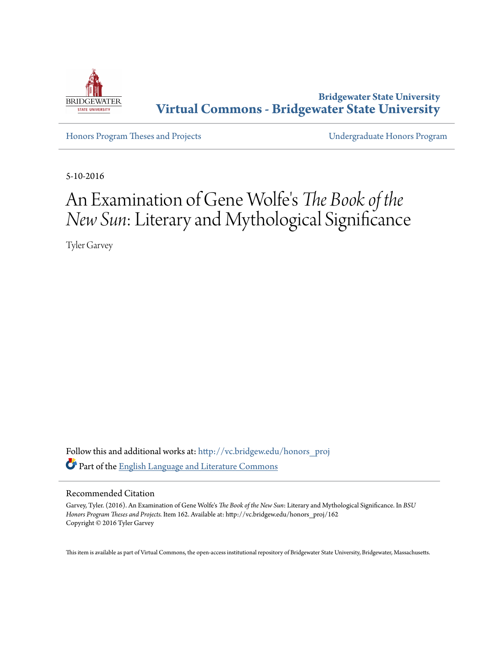

**Bridgewater State University [Virtual Commons - Bridgewater State University](http://vc.bridgew.edu?utm_source=vc.bridgew.edu%2Fhonors_proj%2F162&utm_medium=PDF&utm_campaign=PDFCoverPages)**

[Honors Program Theses and Projects](http://vc.bridgew.edu/honors_proj?utm_source=vc.bridgew.edu%2Fhonors_proj%2F162&utm_medium=PDF&utm_campaign=PDFCoverPages) [Undergraduate Honors Program](http://vc.bridgew.edu/honors?utm_source=vc.bridgew.edu%2Fhonors_proj%2F162&utm_medium=PDF&utm_campaign=PDFCoverPages)

5-10-2016

## An Examination of Gene Wolfe' s *The Book of the New Sun*: Literary and Mythological Significance

Tyler Garvey

Follow this and additional works at: [http://vc.bridgew.edu/honors\\_proj](http://vc.bridgew.edu/honors_proj?utm_source=vc.bridgew.edu%2Fhonors_proj%2F162&utm_medium=PDF&utm_campaign=PDFCoverPages) Part of the [English Language and Literature Commons](http://network.bepress.com/hgg/discipline/455?utm_source=vc.bridgew.edu%2Fhonors_proj%2F162&utm_medium=PDF&utm_campaign=PDFCoverPages)

## Recommended Citation

Garvey, Tyler. (2016). An Examination of Gene Wolfe's *The Book of the New Sun*: Literary and Mythological Significance. In *BSU Honors Program Theses and Projects.* Item 162. Available at: http://vc.bridgew.edu/honors\_proj/162 Copyright © 2016 Tyler Garvey

This item is available as part of Virtual Commons, the open-access institutional repository of Bridgewater State University, Bridgewater, Massachusetts.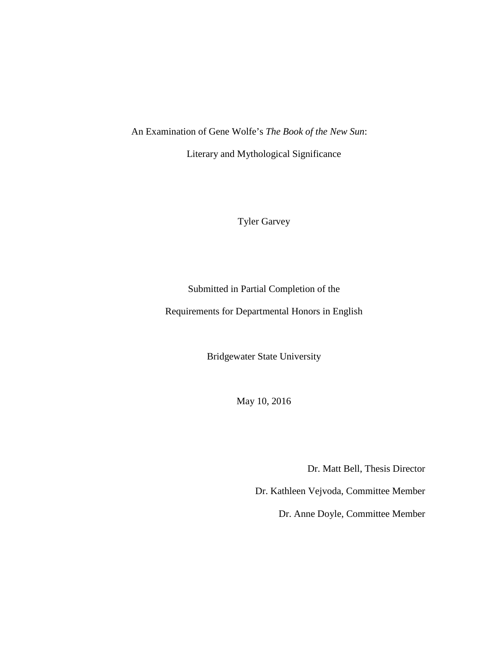An Examination of Gene Wolfe's *The Book of the New Sun*:

Literary and Mythological Significance

Tyler Garvey

Submitted in Partial Completion of the

Requirements for Departmental Honors in English

Bridgewater State University

May 10, 2016

Dr. Matt Bell, Thesis Director

Dr. Kathleen Vejvoda, Committee Member

Dr. Anne Doyle, Committee Member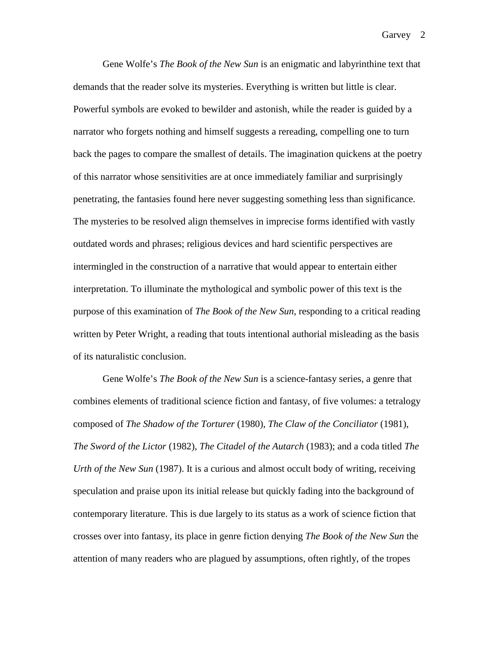Gene Wolfe's *The Book of the New Sun* is an enigmatic and labyrinthine text that demands that the reader solve its mysteries. Everything is written but little is clear. Powerful symbols are evoked to bewilder and astonish, while the reader is guided by a narrator who forgets nothing and himself suggests a rereading, compelling one to turn back the pages to compare the smallest of details. The imagination quickens at the poetry of this narrator whose sensitivities are at once immediately familiar and surprisingly penetrating, the fantasies found here never suggesting something less than significance. The mysteries to be resolved align themselves in imprecise forms identified with vastly outdated words and phrases; religious devices and hard scientific perspectives are intermingled in the construction of a narrative that would appear to entertain either interpretation. To illuminate the mythological and symbolic power of this text is the purpose of this examination of *The Book of the New Sun*, responding to a critical reading written by Peter Wright, a reading that touts intentional authorial misleading as the basis of its naturalistic conclusion.

Gene Wolfe's *The Book of the New Sun* is a science-fantasy series, a genre that combines elements of traditional science fiction and fantasy, of five volumes: a tetralogy composed of *The Shadow of the Torturer* (1980), *The Claw of the Conciliator* (1981), *The Sword of the Lictor* (1982), *The Citadel of the Autarch* (1983); and a coda titled *The Urth of the New Sun* (1987). It is a curious and almost occult body of writing, receiving speculation and praise upon its initial release but quickly fading into the background of contemporary literature. This is due largely to its status as a work of science fiction that crosses over into fantasy, its place in genre fiction denying *The Book of the New Sun* the attention of many readers who are plagued by assumptions, often rightly, of the tropes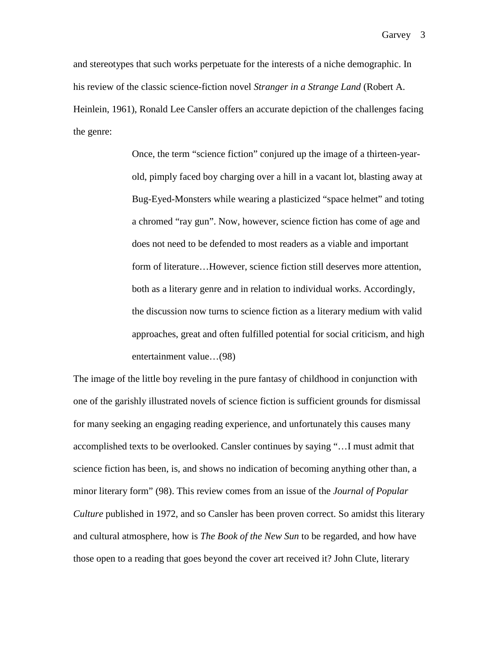and stereotypes that such works perpetuate for the interests of a niche demographic. In his review of the classic science-fiction novel *Stranger in a Strange Land* (Robert A. Heinlein, 1961), Ronald Lee Cansler offers an accurate depiction of the challenges facing the genre:

> Once, the term "science fiction" conjured up the image of a thirteen-yearold, pimply faced boy charging over a hill in a vacant lot, blasting away at Bug-Eyed-Monsters while wearing a plasticized "space helmet" and toting a chromed "ray gun". Now, however, science fiction has come of age and does not need to be defended to most readers as a viable and important form of literature…However, science fiction still deserves more attention, both as a literary genre and in relation to individual works. Accordingly, the discussion now turns to science fiction as a literary medium with valid approaches, great and often fulfilled potential for social criticism, and high entertainment value…(98)

The image of the little boy reveling in the pure fantasy of childhood in conjunction with one of the garishly illustrated novels of science fiction is sufficient grounds for dismissal for many seeking an engaging reading experience, and unfortunately this causes many accomplished texts to be overlooked. Cansler continues by saying "…I must admit that science fiction has been, is, and shows no indication of becoming anything other than, a minor literary form" (98). This review comes from an issue of the *Journal of Popular Culture* published in 1972, and so Cansler has been proven correct. So amidst this literary and cultural atmosphere, how is *The Book of the New Sun* to be regarded, and how have those open to a reading that goes beyond the cover art received it? John Clute, literary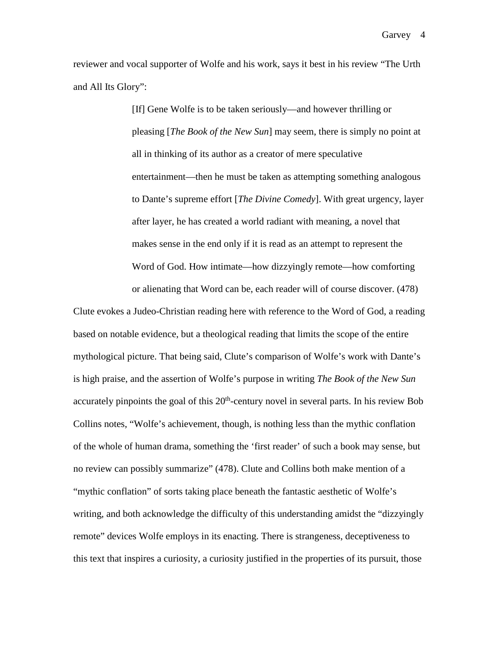reviewer and vocal supporter of Wolfe and his work, says it best in his review "The Urth and All Its Glory":

> [If] Gene Wolfe is to be taken seriously—and however thrilling or pleasing [*The Book of the New Sun*] may seem, there is simply no point at all in thinking of its author as a creator of mere speculative entertainment—then he must be taken as attempting something analogous to Dante's supreme effort [*The Divine Comedy*]. With great urgency, layer after layer, he has created a world radiant with meaning, a novel that makes sense in the end only if it is read as an attempt to represent the Word of God. How intimate—how dizzyingly remote—how comforting or alienating that Word can be, each reader will of course discover. (478)

Clute evokes a Judeo-Christian reading here with reference to the Word of God, a reading based on notable evidence, but a theological reading that limits the scope of the entire mythological picture. That being said, Clute's comparison of Wolfe's work with Dante's is high praise, and the assertion of Wolfe's purpose in writing *The Book of the New Sun*  accurately pinpoints the goal of this  $20<sup>th</sup>$ -century novel in several parts. In his review Bob Collins notes, "Wolfe's achievement, though, is nothing less than the mythic conflation of the whole of human drama, something the 'first reader' of such a book may sense, but no review can possibly summarize" (478). Clute and Collins both make mention of a "mythic conflation" of sorts taking place beneath the fantastic aesthetic of Wolfe's writing, and both acknowledge the difficulty of this understanding amidst the "dizzyingly remote" devices Wolfe employs in its enacting. There is strangeness, deceptiveness to this text that inspires a curiosity, a curiosity justified in the properties of its pursuit, those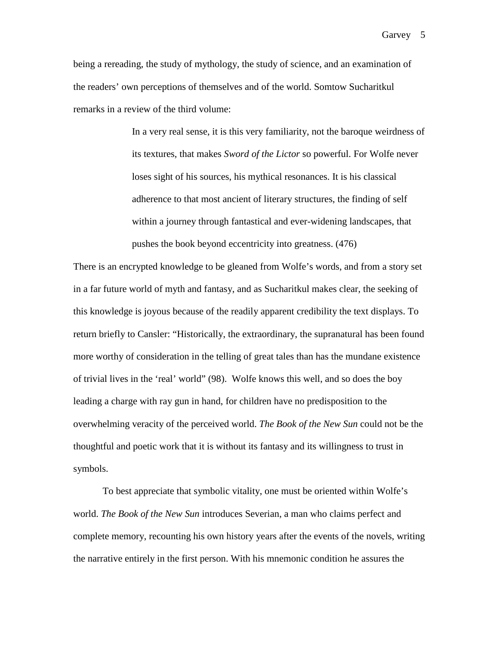being a rereading, the study of mythology, the study of science, and an examination of the readers' own perceptions of themselves and of the world. Somtow Sucharitkul remarks in a review of the third volume:

> In a very real sense, it is this very familiarity, not the baroque weirdness of its textures, that makes *Sword of the Lictor* so powerful. For Wolfe never loses sight of his sources, his mythical resonances. It is his classical adherence to that most ancient of literary structures, the finding of self within a journey through fantastical and ever-widening landscapes, that pushes the book beyond eccentricity into greatness. (476)

There is an encrypted knowledge to be gleaned from Wolfe's words, and from a story set in a far future world of myth and fantasy, and as Sucharitkul makes clear, the seeking of this knowledge is joyous because of the readily apparent credibility the text displays. To return briefly to Cansler: "Historically, the extraordinary, the supranatural has been found more worthy of consideration in the telling of great tales than has the mundane existence of trivial lives in the 'real' world" (98). Wolfe knows this well, and so does the boy leading a charge with ray gun in hand, for children have no predisposition to the overwhelming veracity of the perceived world. *The Book of the New Sun* could not be the thoughtful and poetic work that it is without its fantasy and its willingness to trust in symbols.

To best appreciate that symbolic vitality, one must be oriented within Wolfe's world. *The Book of the New Sun* introduces Severian, a man who claims perfect and complete memory, recounting his own history years after the events of the novels, writing the narrative entirely in the first person. With his mnemonic condition he assures the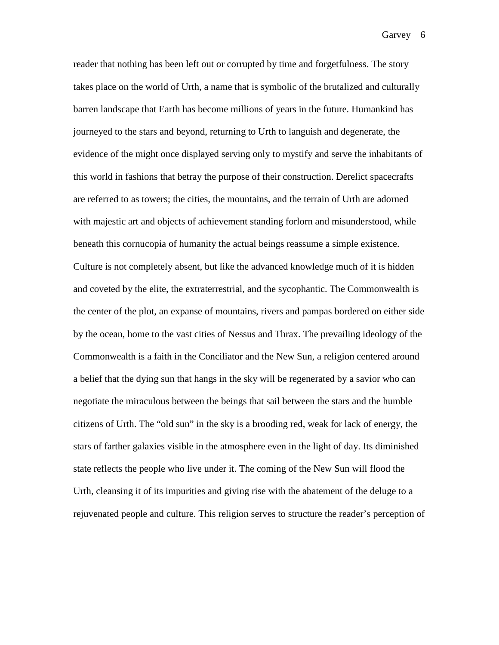reader that nothing has been left out or corrupted by time and forgetfulness. The story takes place on the world of Urth, a name that is symbolic of the brutalized and culturally barren landscape that Earth has become millions of years in the future. Humankind has journeyed to the stars and beyond, returning to Urth to languish and degenerate, the evidence of the might once displayed serving only to mystify and serve the inhabitants of this world in fashions that betray the purpose of their construction. Derelict spacecrafts are referred to as towers; the cities, the mountains, and the terrain of Urth are adorned with majestic art and objects of achievement standing forlorn and misunderstood, while beneath this cornucopia of humanity the actual beings reassume a simple existence. Culture is not completely absent, but like the advanced knowledge much of it is hidden and coveted by the elite, the extraterrestrial, and the sycophantic. The Commonwealth is the center of the plot, an expanse of mountains, rivers and pampas bordered on either side by the ocean, home to the vast cities of Nessus and Thrax. The prevailing ideology of the Commonwealth is a faith in the Conciliator and the New Sun, a religion centered around a belief that the dying sun that hangs in the sky will be regenerated by a savior who can negotiate the miraculous between the beings that sail between the stars and the humble citizens of Urth. The "old sun" in the sky is a brooding red, weak for lack of energy, the stars of farther galaxies visible in the atmosphere even in the light of day. Its diminished state reflects the people who live under it. The coming of the New Sun will flood the Urth, cleansing it of its impurities and giving rise with the abatement of the deluge to a rejuvenated people and culture. This religion serves to structure the reader's perception of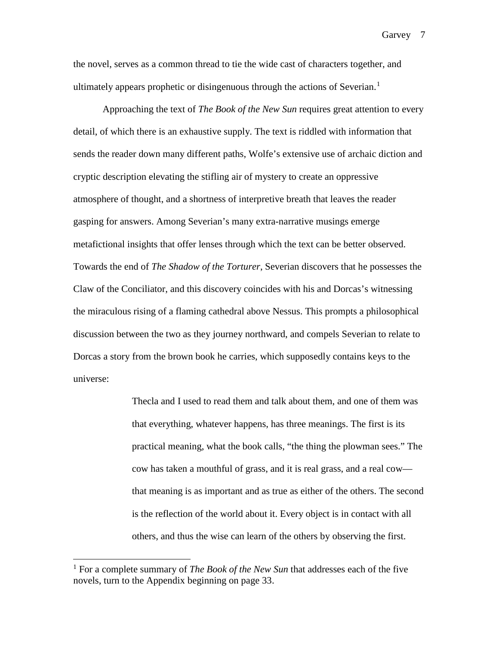the novel, serves as a common thread to tie the wide cast of characters together, and ultimately appears prophetic or disingenuous through the actions of Severian.<sup>[1](#page-7-0)</sup>

Approaching the text of *The Book of the New Sun* requires great attention to every detail, of which there is an exhaustive supply. The text is riddled with information that sends the reader down many different paths, Wolfe's extensive use of archaic diction and cryptic description elevating the stifling air of mystery to create an oppressive atmosphere of thought, and a shortness of interpretive breath that leaves the reader gasping for answers. Among Severian's many extra-narrative musings emerge metafictional insights that offer lenses through which the text can be better observed. Towards the end of *The Shadow of the Torturer*, Severian discovers that he possesses the Claw of the Conciliator, and this discovery coincides with his and Dorcas's witnessing the miraculous rising of a flaming cathedral above Nessus. This prompts a philosophical discussion between the two as they journey northward, and compels Severian to relate to Dorcas a story from the brown book he carries, which supposedly contains keys to the universe:

> Thecla and I used to read them and talk about them, and one of them was that everything, whatever happens, has three meanings. The first is its practical meaning, what the book calls, "the thing the plowman sees." The cow has taken a mouthful of grass, and it is real grass, and a real cow that meaning is as important and as true as either of the others. The second is the reflection of the world about it. Every object is in contact with all others, and thus the wise can learn of the others by observing the first.

Garvey 7

<span id="page-7-0"></span> <sup>1</sup> For a complete summary of *The Book of the New Sun* that addresses each of the five novels, turn to the Appendix beginning on page 33.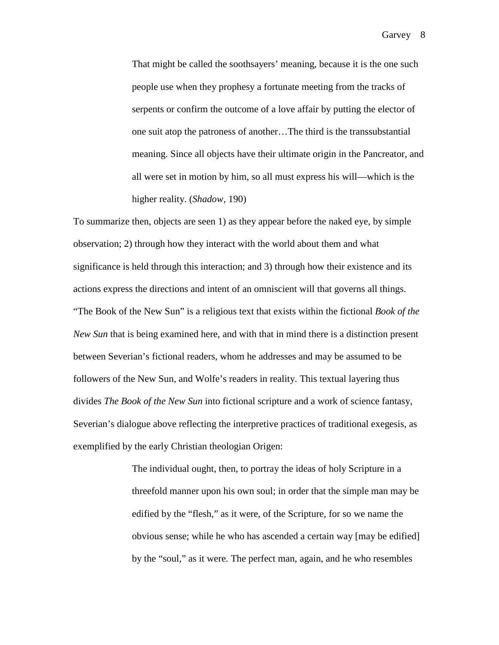That might be called the soothsayers' meaning, because it is the one such people use when they prophesy a fortunate meeting from the tracks of serpents or confirm the outcome of a love affair by putting the elector of one suit atop the patroness of another…The third is the transsubstantial meaning. Since all objects have their ultimate origin in the Pancreator, and all were set in motion by him, so all must express his will—which is the higher reality. (*Shadow*, 190)

To summarize then, objects are seen 1) as they appear before the naked eye, by simple observation; 2) through how they interact with the world about them and what significance is held through this interaction; and 3) through how their existence and its actions express the directions and intent of an omniscient will that governs all things. "The Book of the New Sun" is a religious text that exists within the fictional *Book of the New Sun* that is being examined here, and with that in mind there is a distinction present between Severian's fictional readers, whom he addresses and may be assumed to be followers of the New Sun, and Wolfe's readers in reality. This textual layering thus divides *The Book of the New Sun* into fictional scripture and a work of science fantasy, Severian's dialogue above reflecting the interpretive practices of traditional exegesis, as exemplified by the early Christian theologian Origen:

> The individual ought, then, to portray the ideas of holy Scripture in a threefold manner upon his own soul; in order that the simple man may be edified by the "flesh," as it were, of the Scripture, for so we name the obvious sense; while he who has ascended a certain way [may be edified] by the "soul," as it were. The perfect man, again, and he who resembles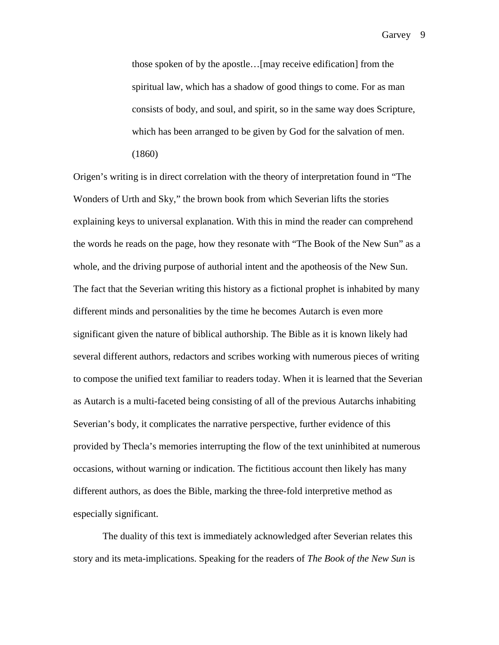those spoken of by the apostle…[may receive edification] from the spiritual law, which has a shadow of good things to come. For as man consists of body, and soul, and spirit, so in the same way does Scripture, which has been arranged to be given by God for the salvation of men. (1860)

Origen's writing is in direct correlation with the theory of interpretation found in "The Wonders of Urth and Sky," the brown book from which Severian lifts the stories explaining keys to universal explanation. With this in mind the reader can comprehend the words he reads on the page, how they resonate with "The Book of the New Sun" as a whole, and the driving purpose of authorial intent and the apotheosis of the New Sun. The fact that the Severian writing this history as a fictional prophet is inhabited by many different minds and personalities by the time he becomes Autarch is even more significant given the nature of biblical authorship. The Bible as it is known likely had several different authors, redactors and scribes working with numerous pieces of writing to compose the unified text familiar to readers today. When it is learned that the Severian as Autarch is a multi-faceted being consisting of all of the previous Autarchs inhabiting Severian's body, it complicates the narrative perspective, further evidence of this provided by Thecla's memories interrupting the flow of the text uninhibited at numerous occasions, without warning or indication. The fictitious account then likely has many different authors, as does the Bible, marking the three-fold interpretive method as especially significant.

The duality of this text is immediately acknowledged after Severian relates this story and its meta-implications. Speaking for the readers of *The Book of the New Sun* is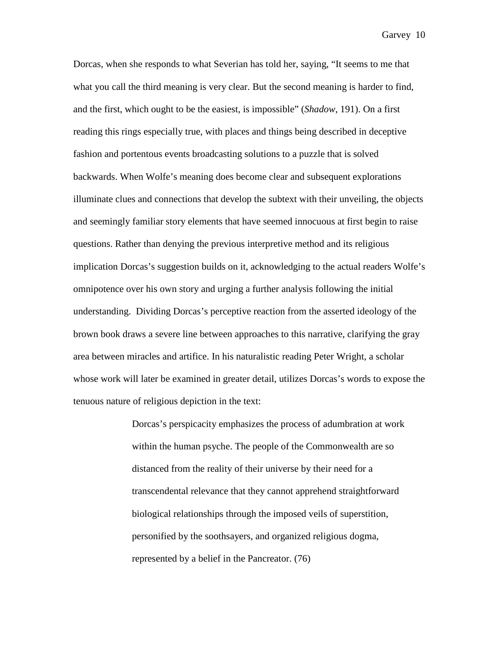Dorcas, when she responds to what Severian has told her, saying, "It seems to me that what you call the third meaning is very clear. But the second meaning is harder to find, and the first, which ought to be the easiest, is impossible" (*Shadow*, 191). On a first reading this rings especially true, with places and things being described in deceptive fashion and portentous events broadcasting solutions to a puzzle that is solved backwards. When Wolfe's meaning does become clear and subsequent explorations illuminate clues and connections that develop the subtext with their unveiling, the objects and seemingly familiar story elements that have seemed innocuous at first begin to raise questions. Rather than denying the previous interpretive method and its religious implication Dorcas's suggestion builds on it, acknowledging to the actual readers Wolfe's omnipotence over his own story and urging a further analysis following the initial understanding. Dividing Dorcas's perceptive reaction from the asserted ideology of the brown book draws a severe line between approaches to this narrative, clarifying the gray area between miracles and artifice. In his naturalistic reading Peter Wright, a scholar whose work will later be examined in greater detail, utilizes Dorcas's words to expose the tenuous nature of religious depiction in the text:

> Dorcas's perspicacity emphasizes the process of adumbration at work within the human psyche. The people of the Commonwealth are so distanced from the reality of their universe by their need for a transcendental relevance that they cannot apprehend straightforward biological relationships through the imposed veils of superstition, personified by the soothsayers, and organized religious dogma, represented by a belief in the Pancreator. (76)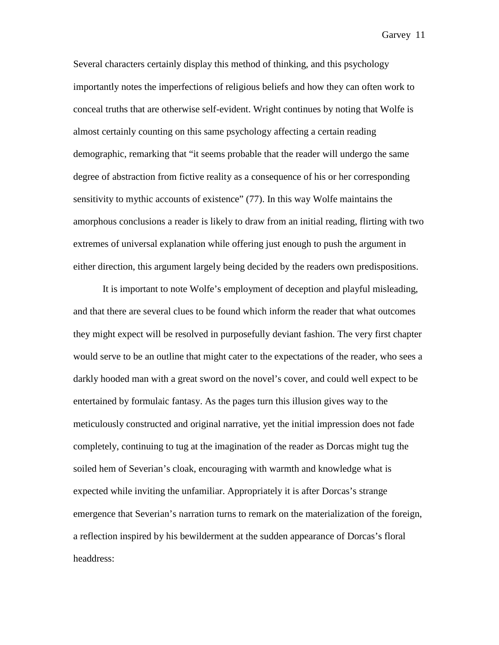Several characters certainly display this method of thinking, and this psychology importantly notes the imperfections of religious beliefs and how they can often work to conceal truths that are otherwise self-evident. Wright continues by noting that Wolfe is almost certainly counting on this same psychology affecting a certain reading demographic, remarking that "it seems probable that the reader will undergo the same degree of abstraction from fictive reality as a consequence of his or her corresponding sensitivity to mythic accounts of existence" (77). In this way Wolfe maintains the amorphous conclusions a reader is likely to draw from an initial reading, flirting with two extremes of universal explanation while offering just enough to push the argument in either direction, this argument largely being decided by the readers own predispositions.

It is important to note Wolfe's employment of deception and playful misleading, and that there are several clues to be found which inform the reader that what outcomes they might expect will be resolved in purposefully deviant fashion. The very first chapter would serve to be an outline that might cater to the expectations of the reader, who sees a darkly hooded man with a great sword on the novel's cover, and could well expect to be entertained by formulaic fantasy. As the pages turn this illusion gives way to the meticulously constructed and original narrative, yet the initial impression does not fade completely, continuing to tug at the imagination of the reader as Dorcas might tug the soiled hem of Severian's cloak, encouraging with warmth and knowledge what is expected while inviting the unfamiliar. Appropriately it is after Dorcas's strange emergence that Severian's narration turns to remark on the materialization of the foreign, a reflection inspired by his bewilderment at the sudden appearance of Dorcas's floral headdress: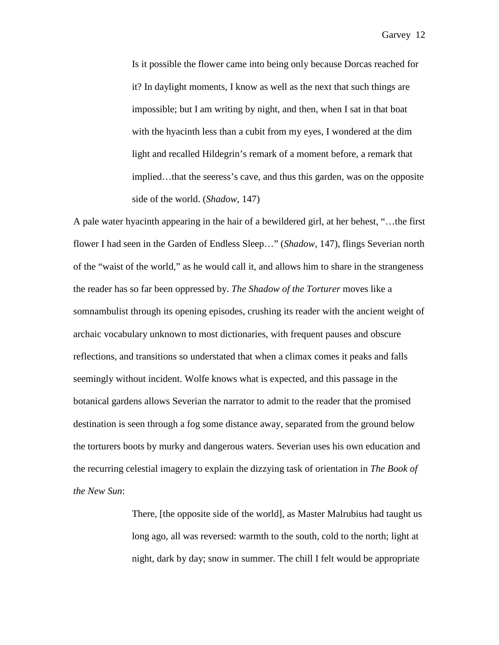Is it possible the flower came into being only because Dorcas reached for it? In daylight moments, I know as well as the next that such things are impossible; but I am writing by night, and then, when I sat in that boat with the hyacinth less than a cubit from my eyes, I wondered at the dim light and recalled Hildegrin's remark of a moment before, a remark that implied…that the seeress's cave, and thus this garden, was on the opposite side of the world. (*Shadow*, 147)

A pale water hyacinth appearing in the hair of a bewildered girl, at her behest, "…the first flower I had seen in the Garden of Endless Sleep…" (*Shadow*, 147), flings Severian north of the "waist of the world," as he would call it, and allows him to share in the strangeness the reader has so far been oppressed by. *The Shadow of the Torturer* moves like a somnambulist through its opening episodes, crushing its reader with the ancient weight of archaic vocabulary unknown to most dictionaries, with frequent pauses and obscure reflections, and transitions so understated that when a climax comes it peaks and falls seemingly without incident. Wolfe knows what is expected, and this passage in the botanical gardens allows Severian the narrator to admit to the reader that the promised destination is seen through a fog some distance away, separated from the ground below the torturers boots by murky and dangerous waters. Severian uses his own education and the recurring celestial imagery to explain the dizzying task of orientation in *The Book of the New Sun*:

> There, [the opposite side of the world], as Master Malrubius had taught us long ago, all was reversed: warmth to the south, cold to the north; light at night, dark by day; snow in summer. The chill I felt would be appropriate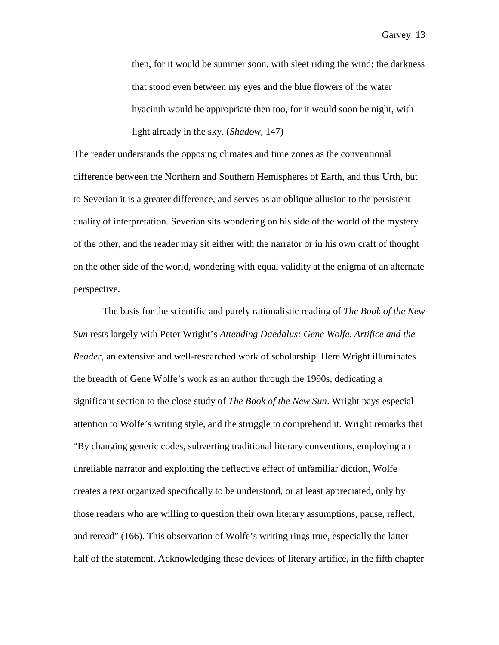then, for it would be summer soon, with sleet riding the wind; the darkness that stood even between my eyes and the blue flowers of the water hyacinth would be appropriate then too, for it would soon be night, with light already in the sky. (*Shadow*, 147)

The reader understands the opposing climates and time zones as the conventional difference between the Northern and Southern Hemispheres of Earth, and thus Urth, but to Severian it is a greater difference, and serves as an oblique allusion to the persistent duality of interpretation. Severian sits wondering on his side of the world of the mystery of the other, and the reader may sit either with the narrator or in his own craft of thought on the other side of the world, wondering with equal validity at the enigma of an alternate perspective.

The basis for the scientific and purely rationalistic reading of *The Book of the New Sun* rests largely with Peter Wright's *Attending Daedalus: Gene Wolfe, Artifice and the Reader*, an extensive and well-researched work of scholarship. Here Wright illuminates the breadth of Gene Wolfe's work as an author through the 1990s, dedicating a significant section to the close study of *The Book of the New Sun*. Wright pays especial attention to Wolfe's writing style, and the struggle to comprehend it. Wright remarks that "By changing generic codes, subverting traditional literary conventions, employing an unreliable narrator and exploiting the deflective effect of unfamiliar diction, Wolfe creates a text organized specifically to be understood, or at least appreciated, only by those readers who are willing to question their own literary assumptions, pause, reflect, and reread" (166). This observation of Wolfe's writing rings true, especially the latter half of the statement. Acknowledging these devices of literary artifice, in the fifth chapter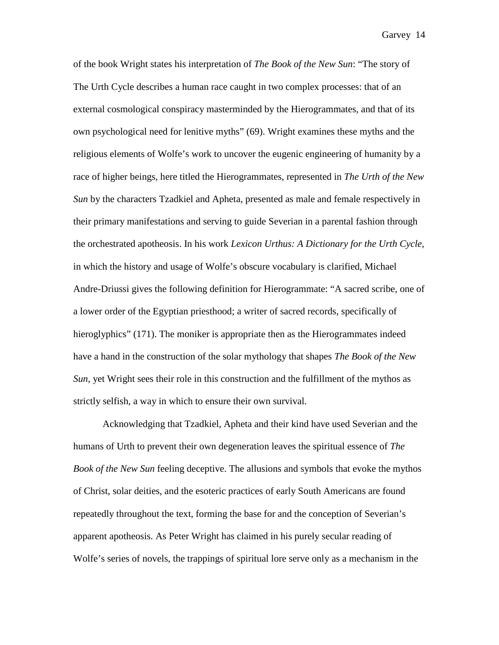of the book Wright states his interpretation of *The Book of the New Sun*: "The story of The Urth Cycle describes a human race caught in two complex processes: that of an external cosmological conspiracy masterminded by the Hierogrammates, and that of its own psychological need for lenitive myths" (69). Wright examines these myths and the religious elements of Wolfe's work to uncover the eugenic engineering of humanity by a race of higher beings, here titled the Hierogrammates, represented in *The Urth of the New Sun* by the characters Tzadkiel and Apheta, presented as male and female respectively in their primary manifestations and serving to guide Severian in a parental fashion through the orchestrated apotheosis. In his work *Lexicon Urthus: A Dictionary for the Urth Cycle*, in which the history and usage of Wolfe's obscure vocabulary is clarified, Michael Andre-Driussi gives the following definition for Hierogrammate: "A sacred scribe, one of a lower order of the Egyptian priesthood; a writer of sacred records, specifically of hieroglyphics" (171). The moniker is appropriate then as the Hierogrammates indeed have a hand in the construction of the solar mythology that shapes *The Book of the New Sun*, yet Wright sees their role in this construction and the fulfillment of the mythos as strictly selfish, a way in which to ensure their own survival.

Acknowledging that Tzadkiel, Apheta and their kind have used Severian and the humans of Urth to prevent their own degeneration leaves the spiritual essence of *The Book of the New Sun* feeling deceptive. The allusions and symbols that evoke the mythos of Christ, solar deities, and the esoteric practices of early South Americans are found repeatedly throughout the text, forming the base for and the conception of Severian's apparent apotheosis. As Peter Wright has claimed in his purely secular reading of Wolfe's series of novels, the trappings of spiritual lore serve only as a mechanism in the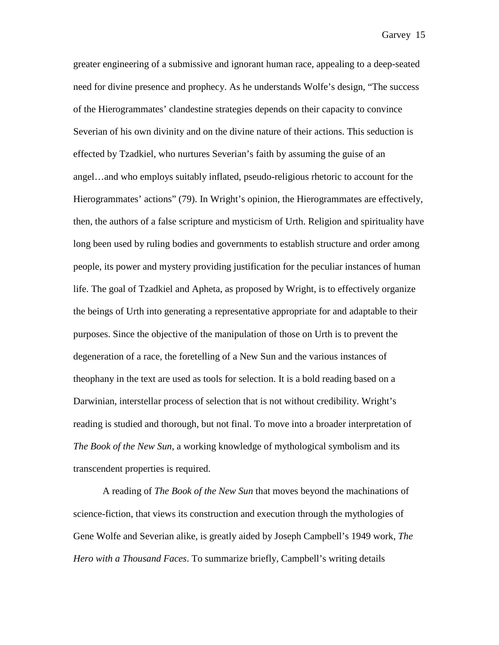greater engineering of a submissive and ignorant human race, appealing to a deep-seated need for divine presence and prophecy. As he understands Wolfe's design, "The success of the Hierogrammates' clandestine strategies depends on their capacity to convince Severian of his own divinity and on the divine nature of their actions. This seduction is effected by Tzadkiel, who nurtures Severian's faith by assuming the guise of an angel…and who employs suitably inflated, pseudo-religious rhetoric to account for the Hierogrammates' actions" (79). In Wright's opinion, the Hierogrammates are effectively, then, the authors of a false scripture and mysticism of Urth. Religion and spirituality have long been used by ruling bodies and governments to establish structure and order among people, its power and mystery providing justification for the peculiar instances of human life. The goal of Tzadkiel and Apheta, as proposed by Wright, is to effectively organize the beings of Urth into generating a representative appropriate for and adaptable to their purposes. Since the objective of the manipulation of those on Urth is to prevent the degeneration of a race, the foretelling of a New Sun and the various instances of theophany in the text are used as tools for selection. It is a bold reading based on a Darwinian, interstellar process of selection that is not without credibility. Wright's reading is studied and thorough, but not final. To move into a broader interpretation of *The Book of the New Sun*, a working knowledge of mythological symbolism and its transcendent properties is required.

A reading of *The Book of the New Sun* that moves beyond the machinations of science-fiction, that views its construction and execution through the mythologies of Gene Wolfe and Severian alike, is greatly aided by Joseph Campbell's 1949 work, *The Hero with a Thousand Faces*. To summarize briefly, Campbell's writing details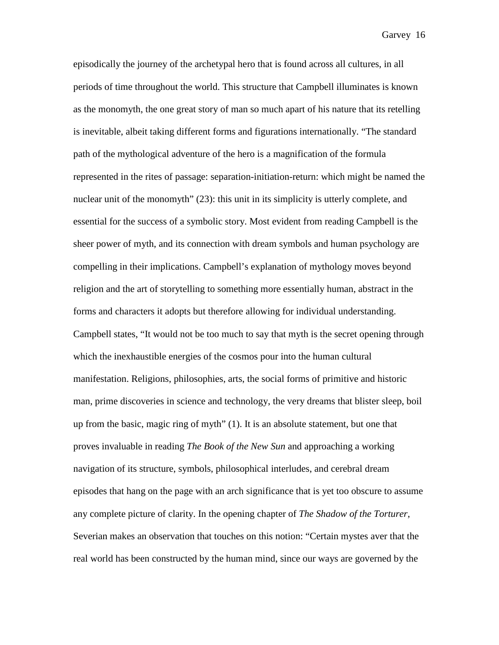episodically the journey of the archetypal hero that is found across all cultures, in all periods of time throughout the world. This structure that Campbell illuminates is known as the monomyth, the one great story of man so much apart of his nature that its retelling is inevitable, albeit taking different forms and figurations internationally. "The standard path of the mythological adventure of the hero is a magnification of the formula represented in the rites of passage: separation-initiation-return: which might be named the nuclear unit of the monomyth" (23): this unit in its simplicity is utterly complete, and essential for the success of a symbolic story. Most evident from reading Campbell is the sheer power of myth, and its connection with dream symbols and human psychology are compelling in their implications. Campbell's explanation of mythology moves beyond religion and the art of storytelling to something more essentially human, abstract in the forms and characters it adopts but therefore allowing for individual understanding. Campbell states, "It would not be too much to say that myth is the secret opening through which the inexhaustible energies of the cosmos pour into the human cultural manifestation. Religions, philosophies, arts, the social forms of primitive and historic man, prime discoveries in science and technology, the very dreams that blister sleep, boil up from the basic, magic ring of myth" (1). It is an absolute statement, but one that proves invaluable in reading *The Book of the New Sun* and approaching a working navigation of its structure, symbols, philosophical interludes, and cerebral dream episodes that hang on the page with an arch significance that is yet too obscure to assume any complete picture of clarity. In the opening chapter of *The Shadow of the Torturer*, Severian makes an observation that touches on this notion: "Certain mystes aver that the real world has been constructed by the human mind, since our ways are governed by the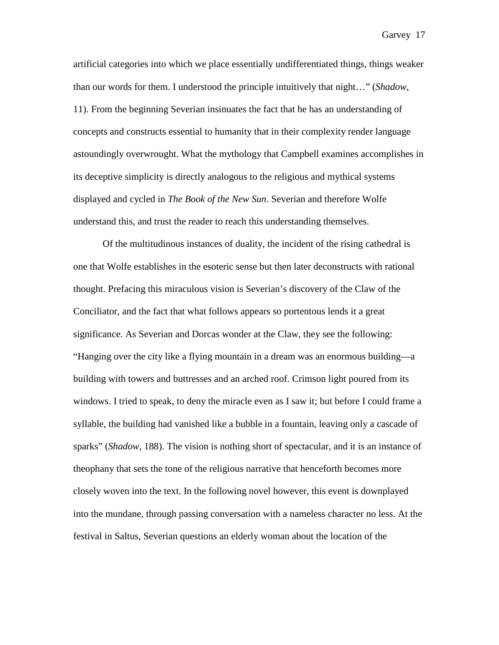artificial categories into which we place essentially undifferentiated things, things weaker than our words for them. I understood the principle intuitively that night…" (*Shadow*, 11). From the beginning Severian insinuates the fact that he has an understanding of concepts and constructs essential to humanity that in their complexity render language astoundingly overwrought. What the mythology that Campbell examines accomplishes in its deceptive simplicity is directly analogous to the religious and mythical systems displayed and cycled in *The Book of the New Sun*. Severian and therefore Wolfe understand this, and trust the reader to reach this understanding themselves.

Of the multitudinous instances of duality, the incident of the rising cathedral is one that Wolfe establishes in the esoteric sense but then later deconstructs with rational thought. Prefacing this miraculous vision is Severian's discovery of the Claw of the Conciliator, and the fact that what follows appears so portentous lends it a great significance. As Severian and Dorcas wonder at the Claw, they see the following: "Hanging over the city like a flying mountain in a dream was an enormous building—a building with towers and buttresses and an arched roof. Crimson light poured from its windows. I tried to speak, to deny the miracle even as I saw it; but before I could frame a syllable, the building had vanished like a bubble in a fountain, leaving only a cascade of sparks" (*Shadow*, 188). The vision is nothing short of spectacular, and it is an instance of theophany that sets the tone of the religious narrative that henceforth becomes more closely woven into the text. In the following novel however, this event is downplayed into the mundane, through passing conversation with a nameless character no less. At the festival in Saltus, Severian questions an elderly woman about the location of the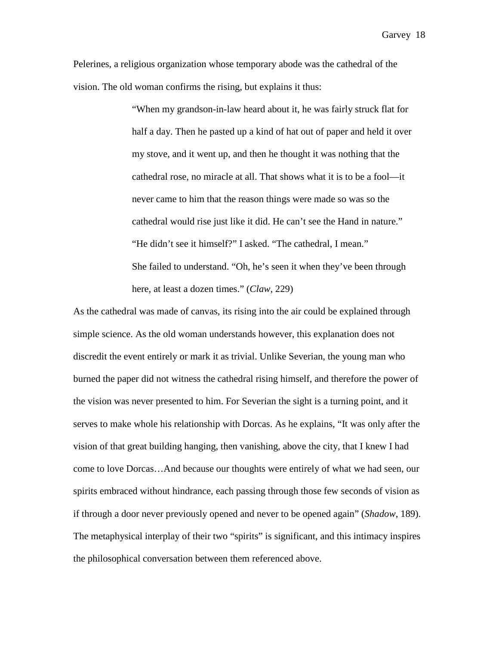Pelerines, a religious organization whose temporary abode was the cathedral of the vision. The old woman confirms the rising, but explains it thus:

> "When my grandson-in-law heard about it, he was fairly struck flat for half a day. Then he pasted up a kind of hat out of paper and held it over my stove, and it went up, and then he thought it was nothing that the cathedral rose, no miracle at all. That shows what it is to be a fool—it never came to him that the reason things were made so was so the cathedral would rise just like it did. He can't see the Hand in nature." "He didn't see it himself?" I asked. "The cathedral, I mean." She failed to understand. "Oh, he's seen it when they've been through here, at least a dozen times." (*Claw*, 229)

As the cathedral was made of canvas, its rising into the air could be explained through simple science. As the old woman understands however, this explanation does not discredit the event entirely or mark it as trivial. Unlike Severian, the young man who burned the paper did not witness the cathedral rising himself, and therefore the power of the vision was never presented to him. For Severian the sight is a turning point, and it serves to make whole his relationship with Dorcas. As he explains, "It was only after the vision of that great building hanging, then vanishing, above the city, that I knew I had come to love Dorcas…And because our thoughts were entirely of what we had seen, our spirits embraced without hindrance, each passing through those few seconds of vision as if through a door never previously opened and never to be opened again" (*Shadow*, 189). The metaphysical interplay of their two "spirits" is significant, and this intimacy inspires the philosophical conversation between them referenced above.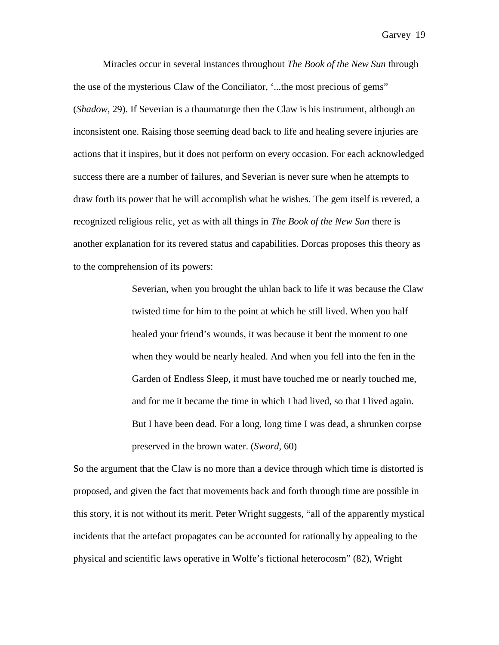Miracles occur in several instances throughout *The Book of the New Sun* through the use of the mysterious Claw of the Conciliator, '...the most precious of gems" (*Shadow*, 29). If Severian is a thaumaturge then the Claw is his instrument, although an inconsistent one. Raising those seeming dead back to life and healing severe injuries are actions that it inspires, but it does not perform on every occasion. For each acknowledged success there are a number of failures, and Severian is never sure when he attempts to draw forth its power that he will accomplish what he wishes. The gem itself is revered, a recognized religious relic, yet as with all things in *The Book of the New Sun* there is another explanation for its revered status and capabilities. Dorcas proposes this theory as to the comprehension of its powers:

> Severian, when you brought the uhlan back to life it was because the Claw twisted time for him to the point at which he still lived. When you half healed your friend's wounds, it was because it bent the moment to one when they would be nearly healed. And when you fell into the fen in the Garden of Endless Sleep, it must have touched me or nearly touched me, and for me it became the time in which I had lived, so that I lived again. But I have been dead. For a long, long time I was dead, a shrunken corpse preserved in the brown water. (*Sword*, 60)

So the argument that the Claw is no more than a device through which time is distorted is proposed, and given the fact that movements back and forth through time are possible in this story, it is not without its merit. Peter Wright suggests, "all of the apparently mystical incidents that the artefact propagates can be accounted for rationally by appealing to the physical and scientific laws operative in Wolfe's fictional heterocosm" (82), Wright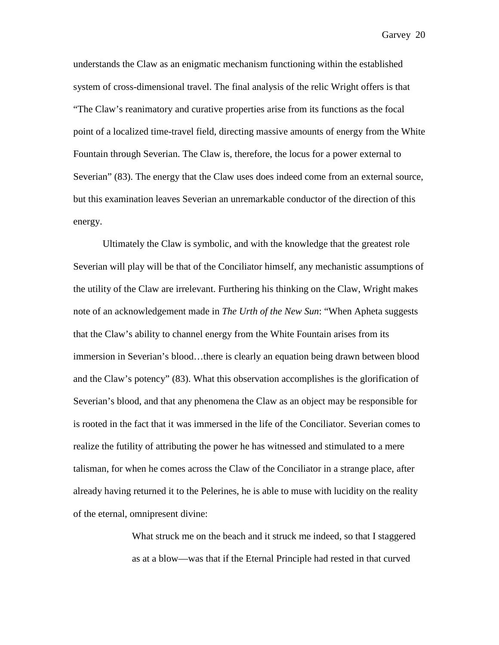understands the Claw as an enigmatic mechanism functioning within the established system of cross-dimensional travel. The final analysis of the relic Wright offers is that "The Claw's reanimatory and curative properties arise from its functions as the focal point of a localized time-travel field, directing massive amounts of energy from the White Fountain through Severian. The Claw is, therefore, the locus for a power external to Severian" (83). The energy that the Claw uses does indeed come from an external source, but this examination leaves Severian an unremarkable conductor of the direction of this energy.

Ultimately the Claw is symbolic, and with the knowledge that the greatest role Severian will play will be that of the Conciliator himself, any mechanistic assumptions of the utility of the Claw are irrelevant. Furthering his thinking on the Claw, Wright makes note of an acknowledgement made in *The Urth of the New Sun*: "When Apheta suggests that the Claw's ability to channel energy from the White Fountain arises from its immersion in Severian's blood…there is clearly an equation being drawn between blood and the Claw's potency" (83). What this observation accomplishes is the glorification of Severian's blood, and that any phenomena the Claw as an object may be responsible for is rooted in the fact that it was immersed in the life of the Conciliator. Severian comes to realize the futility of attributing the power he has witnessed and stimulated to a mere talisman, for when he comes across the Claw of the Conciliator in a strange place, after already having returned it to the Pelerines, he is able to muse with lucidity on the reality of the eternal, omnipresent divine:

> What struck me on the beach and it struck me indeed, so that I staggered as at a blow—was that if the Eternal Principle had rested in that curved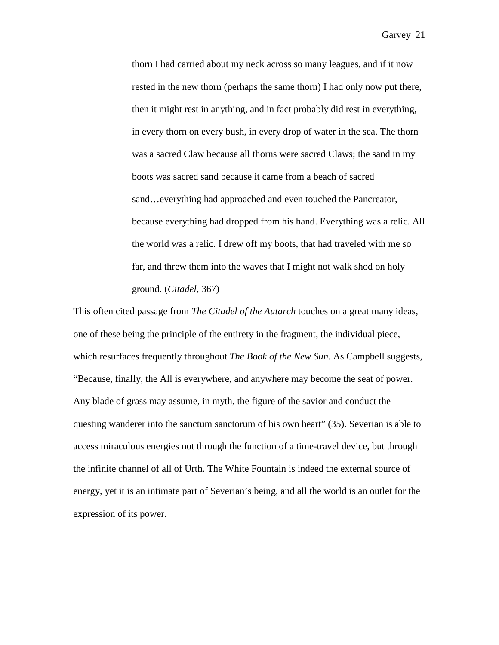thorn I had carried about my neck across so many leagues, and if it now rested in the new thorn (perhaps the same thorn) I had only now put there, then it might rest in anything, and in fact probably did rest in everything, in every thorn on every bush, in every drop of water in the sea. The thorn was a sacred Claw because all thorns were sacred Claws; the sand in my boots was sacred sand because it came from a beach of sacred sand... everything had approached and even touched the Pancreator, because everything had dropped from his hand. Everything was a relic. All the world was a relic. I drew off my boots, that had traveled with me so far, and threw them into the waves that I might not walk shod on holy ground. (*Citadel*, 367)

This often cited passage from *The Citadel of the Autarch* touches on a great many ideas, one of these being the principle of the entirety in the fragment, the individual piece, which resurfaces frequently throughout *The Book of the New Sun*. As Campbell suggests, "Because, finally, the All is everywhere, and anywhere may become the seat of power. Any blade of grass may assume, in myth, the figure of the savior and conduct the questing wanderer into the sanctum sanctorum of his own heart" (35). Severian is able to access miraculous energies not through the function of a time-travel device, but through the infinite channel of all of Urth. The White Fountain is indeed the external source of energy, yet it is an intimate part of Severian's being, and all the world is an outlet for the expression of its power.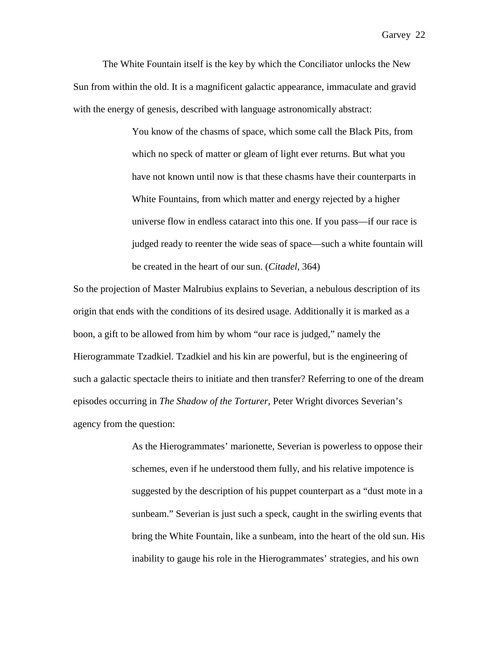The White Fountain itself is the key by which the Conciliator unlocks the New Sun from within the old. It is a magnificent galactic appearance, immaculate and gravid with the energy of genesis, described with language astronomically abstract:

> You know of the chasms of space, which some call the Black Pits, from which no speck of matter or gleam of light ever returns. But what you have not known until now is that these chasms have their counterparts in White Fountains, from which matter and energy rejected by a higher universe flow in endless cataract into this one. If you pass—if our race is judged ready to reenter the wide seas of space—such a white fountain will be created in the heart of our sun. (*Citadel*, 364)

So the projection of Master Malrubius explains to Severian, a nebulous description of its origin that ends with the conditions of its desired usage. Additionally it is marked as a boon, a gift to be allowed from him by whom "our race is judged," namely the Hierogrammate Tzadkiel. Tzadkiel and his kin are powerful, but is the engineering of such a galactic spectacle theirs to initiate and then transfer? Referring to one of the dream episodes occurring in *The Shadow of the Torturer*, Peter Wright divorces Severian's agency from the question:

> As the Hierogrammates' marionette, Severian is powerless to oppose their schemes, even if he understood them fully, and his relative impotence is suggested by the description of his puppet counterpart as a "dust mote in a sunbeam." Severian is just such a speck, caught in the swirling events that bring the White Fountain, like a sunbeam, into the heart of the old sun. His inability to gauge his role in the Hierogrammates' strategies, and his own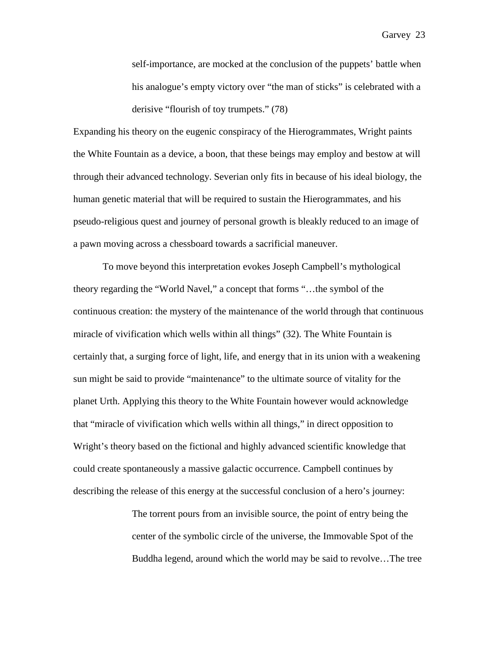self-importance, are mocked at the conclusion of the puppets' battle when his analogue's empty victory over "the man of sticks" is celebrated with a derisive "flourish of toy trumpets." (78)

Expanding his theory on the eugenic conspiracy of the Hierogrammates, Wright paints the White Fountain as a device, a boon, that these beings may employ and bestow at will through their advanced technology. Severian only fits in because of his ideal biology, the human genetic material that will be required to sustain the Hierogrammates, and his pseudo-religious quest and journey of personal growth is bleakly reduced to an image of a pawn moving across a chessboard towards a sacrificial maneuver.

To move beyond this interpretation evokes Joseph Campbell's mythological theory regarding the "World Navel," a concept that forms "…the symbol of the continuous creation: the mystery of the maintenance of the world through that continuous miracle of vivification which wells within all things" (32). The White Fountain is certainly that, a surging force of light, life, and energy that in its union with a weakening sun might be said to provide "maintenance" to the ultimate source of vitality for the planet Urth. Applying this theory to the White Fountain however would acknowledge that "miracle of vivification which wells within all things," in direct opposition to Wright's theory based on the fictional and highly advanced scientific knowledge that could create spontaneously a massive galactic occurrence. Campbell continues by describing the release of this energy at the successful conclusion of a hero's journey:

> The torrent pours from an invisible source, the point of entry being the center of the symbolic circle of the universe, the Immovable Spot of the Buddha legend, around which the world may be said to revolve…The tree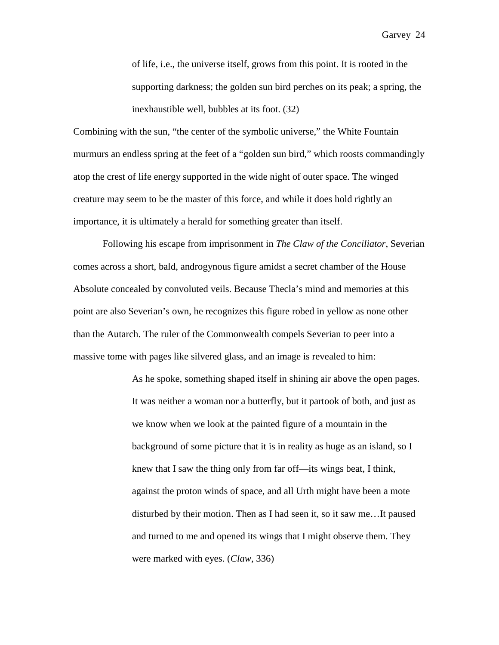of life, i.e., the universe itself, grows from this point. It is rooted in the supporting darkness; the golden sun bird perches on its peak; a spring, the inexhaustible well, bubbles at its foot. (32)

Combining with the sun, "the center of the symbolic universe," the White Fountain murmurs an endless spring at the feet of a "golden sun bird," which roosts commandingly atop the crest of life energy supported in the wide night of outer space. The winged creature may seem to be the master of this force, and while it does hold rightly an importance, it is ultimately a herald for something greater than itself.

Following his escape from imprisonment in *The Claw of the Conciliator*, Severian comes across a short, bald, androgynous figure amidst a secret chamber of the House Absolute concealed by convoluted veils. Because Thecla's mind and memories at this point are also Severian's own, he recognizes this figure robed in yellow as none other than the Autarch. The ruler of the Commonwealth compels Severian to peer into a massive tome with pages like silvered glass, and an image is revealed to him:

> As he spoke, something shaped itself in shining air above the open pages. It was neither a woman nor a butterfly, but it partook of both, and just as we know when we look at the painted figure of a mountain in the background of some picture that it is in reality as huge as an island, so I knew that I saw the thing only from far off—its wings beat, I think, against the proton winds of space, and all Urth might have been a mote disturbed by their motion. Then as I had seen it, so it saw me…It paused and turned to me and opened its wings that I might observe them. They were marked with eyes. (*Claw*, 336)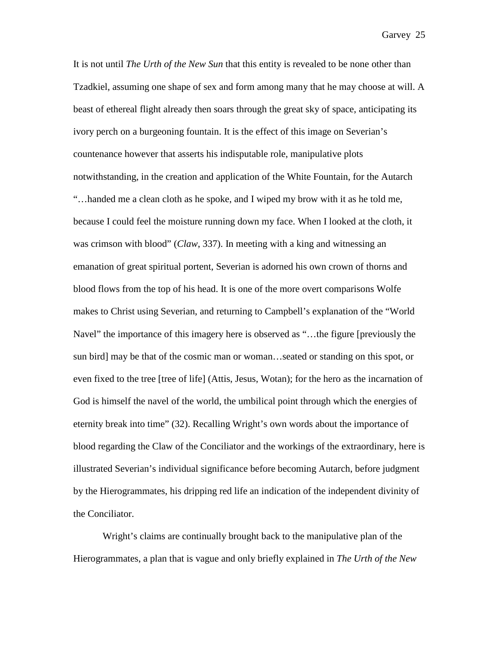It is not until *The Urth of the New Sun* that this entity is revealed to be none other than Tzadkiel, assuming one shape of sex and form among many that he may choose at will. A beast of ethereal flight already then soars through the great sky of space, anticipating its ivory perch on a burgeoning fountain. It is the effect of this image on Severian's countenance however that asserts his indisputable role, manipulative plots notwithstanding, in the creation and application of the White Fountain, for the Autarch "…handed me a clean cloth as he spoke, and I wiped my brow with it as he told me, because I could feel the moisture running down my face. When I looked at the cloth, it was crimson with blood" (*Claw*, 337). In meeting with a king and witnessing an emanation of great spiritual portent, Severian is adorned his own crown of thorns and blood flows from the top of his head. It is one of the more overt comparisons Wolfe makes to Christ using Severian, and returning to Campbell's explanation of the "World Navel" the importance of this imagery here is observed as "...the figure [previously the sun bird] may be that of the cosmic man or woman…seated or standing on this spot, or even fixed to the tree [tree of life] (Attis, Jesus, Wotan); for the hero as the incarnation of God is himself the navel of the world, the umbilical point through which the energies of eternity break into time" (32). Recalling Wright's own words about the importance of blood regarding the Claw of the Conciliator and the workings of the extraordinary, here is illustrated Severian's individual significance before becoming Autarch, before judgment by the Hierogrammates, his dripping red life an indication of the independent divinity of the Conciliator.

Wright's claims are continually brought back to the manipulative plan of the Hierogrammates, a plan that is vague and only briefly explained in *The Urth of the New*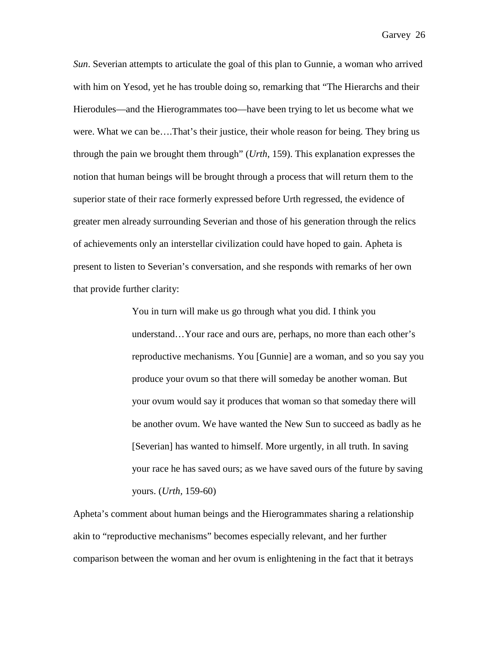*Sun*. Severian attempts to articulate the goal of this plan to Gunnie, a woman who arrived with him on Yesod, yet he has trouble doing so, remarking that "The Hierarchs and their Hierodules—and the Hierogrammates too—have been trying to let us become what we were. What we can be….That's their justice, their whole reason for being. They bring us through the pain we brought them through" (*Urth*, 159). This explanation expresses the notion that human beings will be brought through a process that will return them to the superior state of their race formerly expressed before Urth regressed, the evidence of greater men already surrounding Severian and those of his generation through the relics of achievements only an interstellar civilization could have hoped to gain. Apheta is present to listen to Severian's conversation, and she responds with remarks of her own that provide further clarity:

> You in turn will make us go through what you did. I think you understand…Your race and ours are, perhaps, no more than each other's reproductive mechanisms. You [Gunnie] are a woman, and so you say you produce your ovum so that there will someday be another woman. But your ovum would say it produces that woman so that someday there will be another ovum. We have wanted the New Sun to succeed as badly as he [Severian] has wanted to himself. More urgently, in all truth. In saving your race he has saved ours; as we have saved ours of the future by saving yours. (*Urth,* 159-60)

Apheta's comment about human beings and the Hierogrammates sharing a relationship akin to "reproductive mechanisms" becomes especially relevant, and her further comparison between the woman and her ovum is enlightening in the fact that it betrays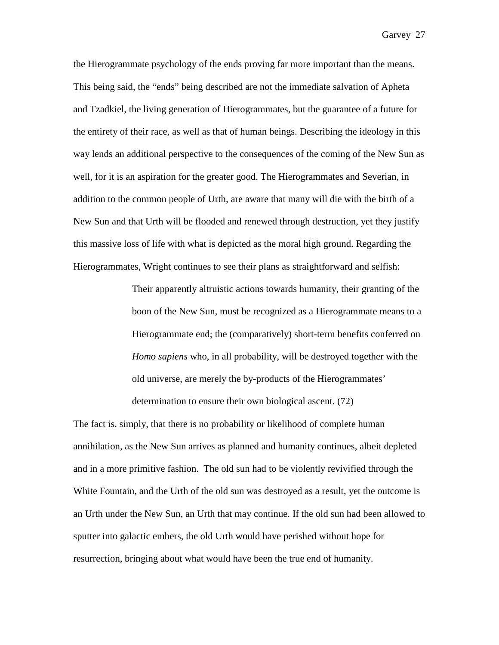the Hierogrammate psychology of the ends proving far more important than the means. This being said, the "ends" being described are not the immediate salvation of Apheta and Tzadkiel, the living generation of Hierogrammates, but the guarantee of a future for the entirety of their race, as well as that of human beings. Describing the ideology in this way lends an additional perspective to the consequences of the coming of the New Sun as well, for it is an aspiration for the greater good. The Hierogrammates and Severian, in addition to the common people of Urth, are aware that many will die with the birth of a New Sun and that Urth will be flooded and renewed through destruction, yet they justify this massive loss of life with what is depicted as the moral high ground. Regarding the Hierogrammates, Wright continues to see their plans as straightforward and selfish:

> Their apparently altruistic actions towards humanity, their granting of the boon of the New Sun, must be recognized as a Hierogrammate means to a Hierogrammate end; the (comparatively) short-term benefits conferred on *Homo sapiens* who, in all probability, will be destroyed together with the old universe, are merely the by-products of the Hierogrammates' determination to ensure their own biological ascent. (72)

The fact is, simply, that there is no probability or likelihood of complete human annihilation, as the New Sun arrives as planned and humanity continues, albeit depleted and in a more primitive fashion. The old sun had to be violently revivified through the White Fountain, and the Urth of the old sun was destroyed as a result, yet the outcome is an Urth under the New Sun, an Urth that may continue. If the old sun had been allowed to sputter into galactic embers, the old Urth would have perished without hope for resurrection, bringing about what would have been the true end of humanity.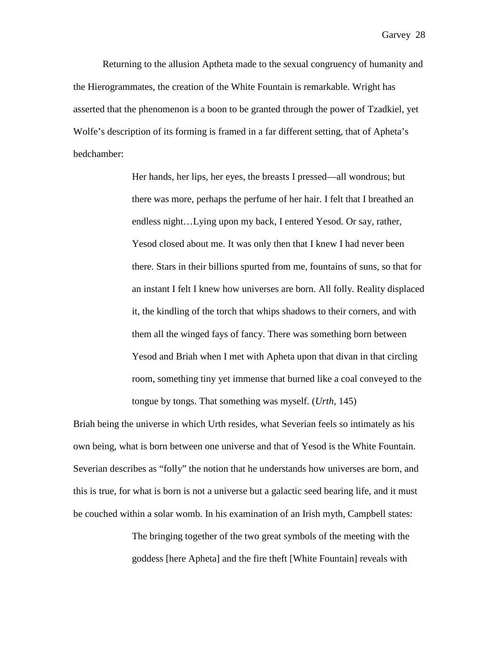Returning to the allusion Aptheta made to the sexual congruency of humanity and the Hierogrammates, the creation of the White Fountain is remarkable. Wright has asserted that the phenomenon is a boon to be granted through the power of Tzadkiel, yet Wolfe's description of its forming is framed in a far different setting, that of Apheta's bedchamber:

> Her hands, her lips, her eyes, the breasts I pressed—all wondrous; but there was more, perhaps the perfume of her hair. I felt that I breathed an endless night…Lying upon my back, I entered Yesod. Or say, rather, Yesod closed about me. It was only then that I knew I had never been there. Stars in their billions spurted from me, fountains of suns, so that for an instant I felt I knew how universes are born. All folly. Reality displaced it, the kindling of the torch that whips shadows to their corners, and with them all the winged fays of fancy. There was something born between Yesod and Briah when I met with Apheta upon that divan in that circling room, something tiny yet immense that burned like a coal conveyed to the tongue by tongs. That something was myself. (*Urth,* 145)

Briah being the universe in which Urth resides, what Severian feels so intimately as his own being, what is born between one universe and that of Yesod is the White Fountain. Severian describes as "folly" the notion that he understands how universes are born, and this is true, for what is born is not a universe but a galactic seed bearing life, and it must be couched within a solar womb. In his examination of an Irish myth, Campbell states:

> The bringing together of the two great symbols of the meeting with the goddess [here Apheta] and the fire theft [White Fountain] reveals with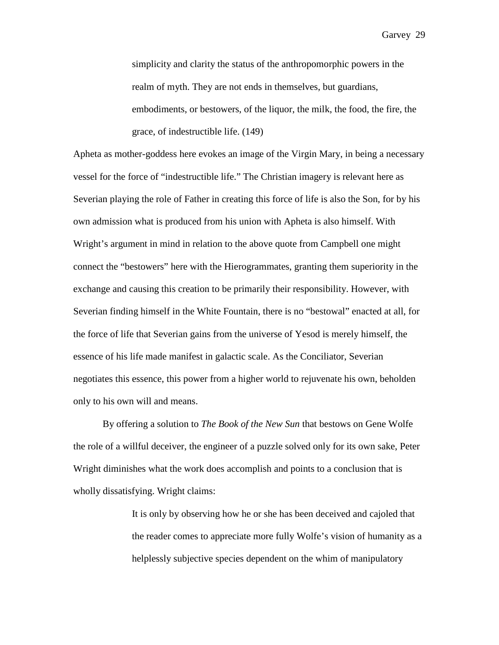simplicity and clarity the status of the anthropomorphic powers in the realm of myth. They are not ends in themselves, but guardians, embodiments, or bestowers, of the liquor, the milk, the food, the fire, the grace, of indestructible life. (149)

Apheta as mother-goddess here evokes an image of the Virgin Mary, in being a necessary vessel for the force of "indestructible life." The Christian imagery is relevant here as Severian playing the role of Father in creating this force of life is also the Son, for by his own admission what is produced from his union with Apheta is also himself. With Wright's argument in mind in relation to the above quote from Campbell one might connect the "bestowers" here with the Hierogrammates, granting them superiority in the exchange and causing this creation to be primarily their responsibility. However, with Severian finding himself in the White Fountain, there is no "bestowal" enacted at all, for the force of life that Severian gains from the universe of Yesod is merely himself, the essence of his life made manifest in galactic scale. As the Conciliator, Severian negotiates this essence, this power from a higher world to rejuvenate his own, beholden only to his own will and means.

By offering a solution to *The Book of the New Sun* that bestows on Gene Wolfe the role of a willful deceiver, the engineer of a puzzle solved only for its own sake, Peter Wright diminishes what the work does accomplish and points to a conclusion that is wholly dissatisfying. Wright claims:

> It is only by observing how he or she has been deceived and cajoled that the reader comes to appreciate more fully Wolfe's vision of humanity as a helplessly subjective species dependent on the whim of manipulatory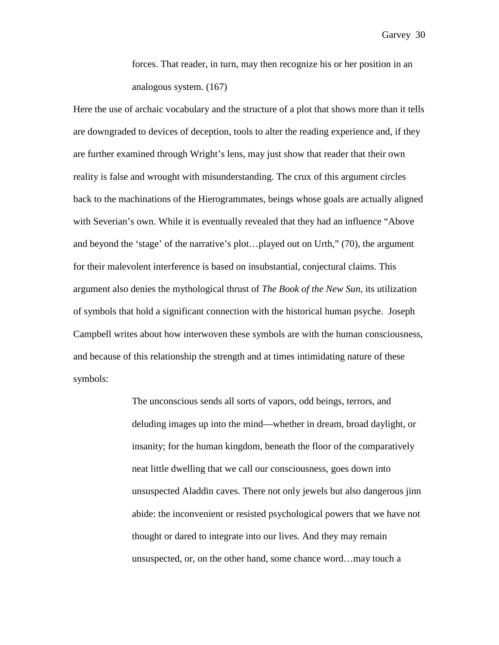forces. That reader, in turn, may then recognize his or her position in an analogous system. (167)

Here the use of archaic vocabulary and the structure of a plot that shows more than it tells are downgraded to devices of deception, tools to alter the reading experience and, if they are further examined through Wright's lens, may just show that reader that their own reality is false and wrought with misunderstanding. The crux of this argument circles back to the machinations of the Hierogrammates, beings whose goals are actually aligned with Severian's own. While it is eventually revealed that they had an influence "Above and beyond the 'stage' of the narrative's plot…played out on Urth," (70), the argument for their malevolent interference is based on insubstantial, conjectural claims. This argument also denies the mythological thrust of *The Book of the New Sun*, its utilization of symbols that hold a significant connection with the historical human psyche. Joseph Campbell writes about how interwoven these symbols are with the human consciousness, and because of this relationship the strength and at times intimidating nature of these symbols:

> The unconscious sends all sorts of vapors, odd beings, terrors, and deluding images up into the mind—whether in dream, broad daylight, or insanity; for the human kingdom, beneath the floor of the comparatively neat little dwelling that we call our consciousness, goes down into unsuspected Aladdin caves. There not only jewels but also dangerous jinn abide: the inconvenient or resisted psychological powers that we have not thought or dared to integrate into our lives. And they may remain unsuspected, or, on the other hand, some chance word…may touch a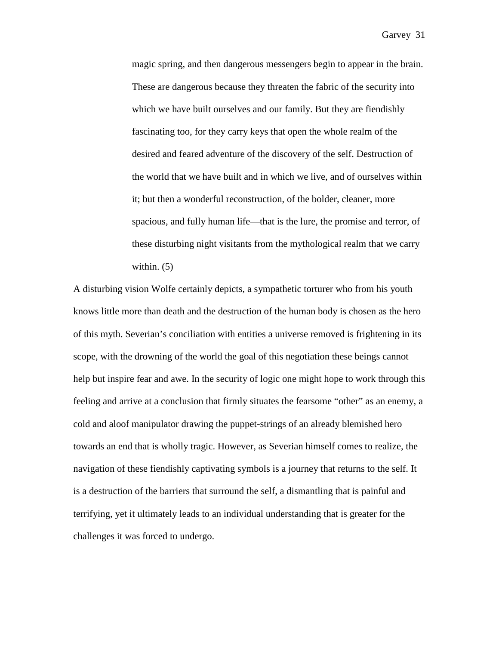magic spring, and then dangerous messengers begin to appear in the brain. These are dangerous because they threaten the fabric of the security into which we have built ourselves and our family. But they are fiendishly fascinating too, for they carry keys that open the whole realm of the desired and feared adventure of the discovery of the self. Destruction of the world that we have built and in which we live, and of ourselves within it; but then a wonderful reconstruction, of the bolder, cleaner, more spacious, and fully human life—that is the lure, the promise and terror, of these disturbing night visitants from the mythological realm that we carry within. (5)

A disturbing vision Wolfe certainly depicts, a sympathetic torturer who from his youth knows little more than death and the destruction of the human body is chosen as the hero of this myth. Severian's conciliation with entities a universe removed is frightening in its scope, with the drowning of the world the goal of this negotiation these beings cannot help but inspire fear and awe. In the security of logic one might hope to work through this feeling and arrive at a conclusion that firmly situates the fearsome "other" as an enemy, a cold and aloof manipulator drawing the puppet-strings of an already blemished hero towards an end that is wholly tragic. However, as Severian himself comes to realize, the navigation of these fiendishly captivating symbols is a journey that returns to the self. It is a destruction of the barriers that surround the self, a dismantling that is painful and terrifying, yet it ultimately leads to an individual understanding that is greater for the challenges it was forced to undergo.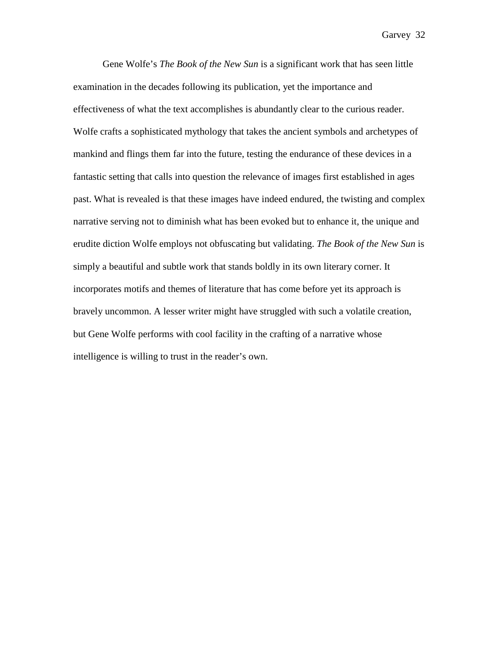Gene Wolfe's *The Book of the New Sun* is a significant work that has seen little examination in the decades following its publication, yet the importance and effectiveness of what the text accomplishes is abundantly clear to the curious reader. Wolfe crafts a sophisticated mythology that takes the ancient symbols and archetypes of mankind and flings them far into the future, testing the endurance of these devices in a fantastic setting that calls into question the relevance of images first established in ages past. What is revealed is that these images have indeed endured, the twisting and complex narrative serving not to diminish what has been evoked but to enhance it, the unique and erudite diction Wolfe employs not obfuscating but validating. *The Book of the New Sun* is simply a beautiful and subtle work that stands boldly in its own literary corner. It incorporates motifs and themes of literature that has come before yet its approach is bravely uncommon. A lesser writer might have struggled with such a volatile creation, but Gene Wolfe performs with cool facility in the crafting of a narrative whose intelligence is willing to trust in the reader's own.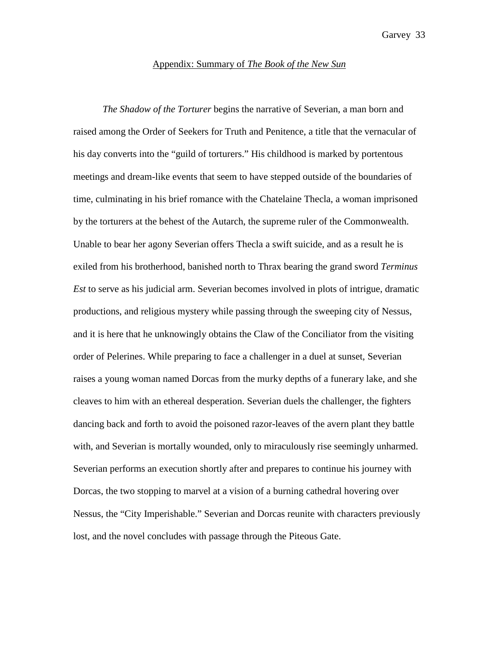## Appendix: Summary of *The Book of the New Sun*

*The Shadow of the Torturer* begins the narrative of Severian, a man born and raised among the Order of Seekers for Truth and Penitence, a title that the vernacular of his day converts into the "guild of torturers." His childhood is marked by portentous meetings and dream-like events that seem to have stepped outside of the boundaries of time, culminating in his brief romance with the Chatelaine Thecla, a woman imprisoned by the torturers at the behest of the Autarch, the supreme ruler of the Commonwealth. Unable to bear her agony Severian offers Thecla a swift suicide, and as a result he is exiled from his brotherhood, banished north to Thrax bearing the grand sword *Terminus Est* to serve as his judicial arm. Severian becomes involved in plots of intrigue, dramatic productions, and religious mystery while passing through the sweeping city of Nessus, and it is here that he unknowingly obtains the Claw of the Conciliator from the visiting order of Pelerines. While preparing to face a challenger in a duel at sunset, Severian raises a young woman named Dorcas from the murky depths of a funerary lake, and she cleaves to him with an ethereal desperation. Severian duels the challenger, the fighters dancing back and forth to avoid the poisoned razor-leaves of the avern plant they battle with, and Severian is mortally wounded, only to miraculously rise seemingly unharmed. Severian performs an execution shortly after and prepares to continue his journey with Dorcas, the two stopping to marvel at a vision of a burning cathedral hovering over Nessus, the "City Imperishable." Severian and Dorcas reunite with characters previously lost, and the novel concludes with passage through the Piteous Gate.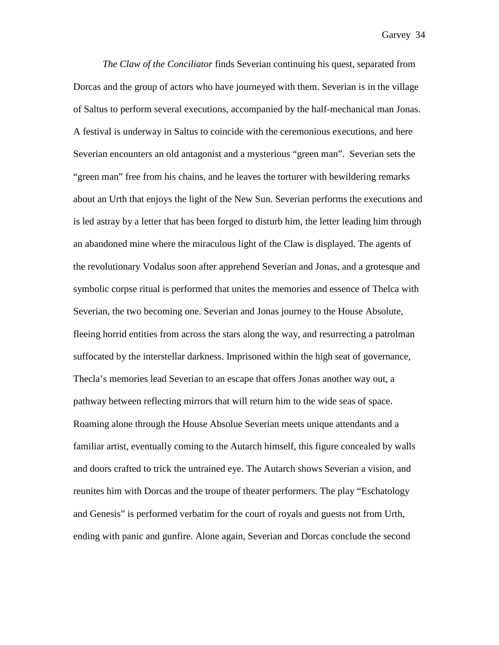*The Claw of the Conciliator* finds Severian continuing his quest, separated from Dorcas and the group of actors who have journeyed with them. Severian is in the village of Saltus to perform several executions, accompanied by the half-mechanical man Jonas. A festival is underway in Saltus to coincide with the ceremonious executions, and here Severian encounters an old antagonist and a mysterious "green man". Severian sets the "green man" free from his chains, and he leaves the torturer with bewildering remarks about an Urth that enjoys the light of the New Sun. Severian performs the executions and is led astray by a letter that has been forged to disturb him, the letter leading him through an abandoned mine where the miraculous light of the Claw is displayed. The agents of the revolutionary Vodalus soon after apprehend Severian and Jonas, and a grotesque and symbolic corpse ritual is performed that unites the memories and essence of Thelca with Severian, the two becoming one. Severian and Jonas journey to the House Absolute, fleeing horrid entities from across the stars along the way, and resurrecting a patrolman suffocated by the interstellar darkness. Imprisoned within the high seat of governance, Thecla's memories lead Severian to an escape that offers Jonas another way out, a pathway between reflecting mirrors that will return him to the wide seas of space. Roaming alone through the House Absolue Severian meets unique attendants and a familiar artist, eventually coming to the Autarch himself, this figure concealed by walls and doors crafted to trick the untrained eye. The Autarch shows Severian a vision, and reunites him with Dorcas and the troupe of theater performers. The play "Eschatology and Genesis" is performed verbatim for the court of royals and guests not from Urth, ending with panic and gunfire. Alone again, Severian and Dorcas conclude the second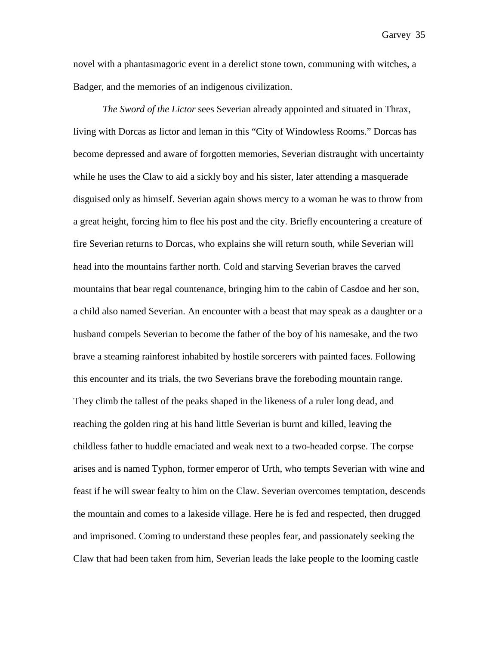novel with a phantasmagoric event in a derelict stone town, communing with witches, a Badger, and the memories of an indigenous civilization.

*The Sword of the Lictor* sees Severian already appointed and situated in Thrax, living with Dorcas as lictor and leman in this "City of Windowless Rooms." Dorcas has become depressed and aware of forgotten memories, Severian distraught with uncertainty while he uses the Claw to aid a sickly boy and his sister, later attending a masquerade disguised only as himself. Severian again shows mercy to a woman he was to throw from a great height, forcing him to flee his post and the city. Briefly encountering a creature of fire Severian returns to Dorcas, who explains she will return south, while Severian will head into the mountains farther north. Cold and starving Severian braves the carved mountains that bear regal countenance, bringing him to the cabin of Casdoe and her son, a child also named Severian. An encounter with a beast that may speak as a daughter or a husband compels Severian to become the father of the boy of his namesake, and the two brave a steaming rainforest inhabited by hostile sorcerers with painted faces. Following this encounter and its trials, the two Severians brave the foreboding mountain range. They climb the tallest of the peaks shaped in the likeness of a ruler long dead, and reaching the golden ring at his hand little Severian is burnt and killed, leaving the childless father to huddle emaciated and weak next to a two-headed corpse. The corpse arises and is named Typhon, former emperor of Urth, who tempts Severian with wine and feast if he will swear fealty to him on the Claw. Severian overcomes temptation, descends the mountain and comes to a lakeside village. Here he is fed and respected, then drugged and imprisoned. Coming to understand these peoples fear, and passionately seeking the Claw that had been taken from him, Severian leads the lake people to the looming castle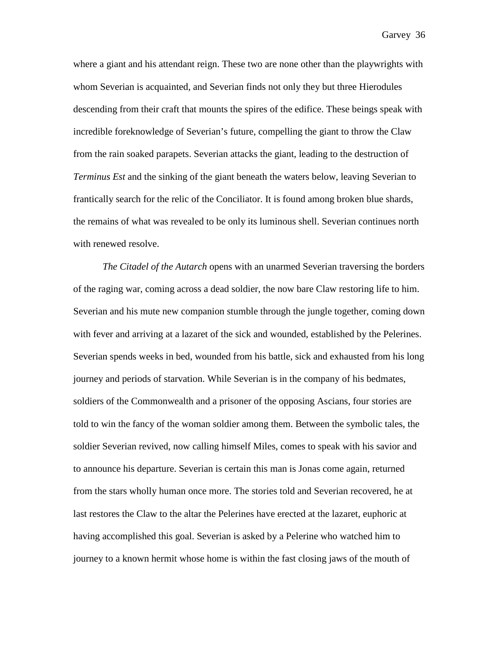where a giant and his attendant reign. These two are none other than the playwrights with whom Severian is acquainted, and Severian finds not only they but three Hierodules descending from their craft that mounts the spires of the edifice. These beings speak with incredible foreknowledge of Severian's future, compelling the giant to throw the Claw from the rain soaked parapets. Severian attacks the giant, leading to the destruction of *Terminus Est* and the sinking of the giant beneath the waters below, leaving Severian to frantically search for the relic of the Conciliator. It is found among broken blue shards, the remains of what was revealed to be only its luminous shell. Severian continues north with renewed resolve.

*The Citadel of the Autarch* opens with an unarmed Severian traversing the borders of the raging war, coming across a dead soldier, the now bare Claw restoring life to him. Severian and his mute new companion stumble through the jungle together, coming down with fever and arriving at a lazaret of the sick and wounded, established by the Pelerines. Severian spends weeks in bed, wounded from his battle, sick and exhausted from his long journey and periods of starvation. While Severian is in the company of his bedmates, soldiers of the Commonwealth and a prisoner of the opposing Ascians, four stories are told to win the fancy of the woman soldier among them. Between the symbolic tales, the soldier Severian revived, now calling himself Miles, comes to speak with his savior and to announce his departure. Severian is certain this man is Jonas come again, returned from the stars wholly human once more. The stories told and Severian recovered, he at last restores the Claw to the altar the Pelerines have erected at the lazaret, euphoric at having accomplished this goal. Severian is asked by a Pelerine who watched him to journey to a known hermit whose home is within the fast closing jaws of the mouth of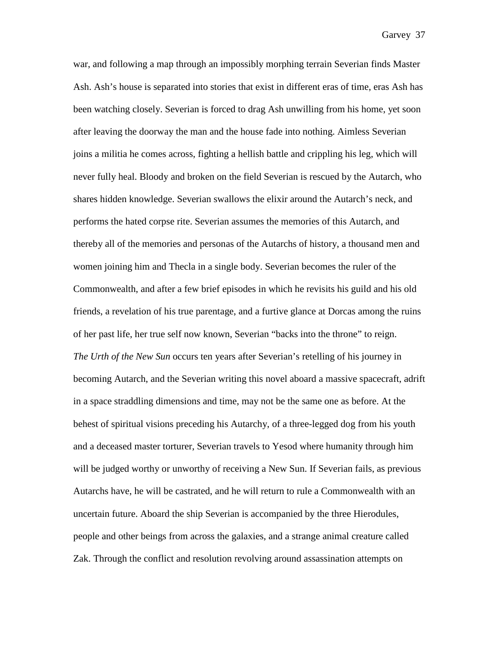war, and following a map through an impossibly morphing terrain Severian finds Master Ash. Ash's house is separated into stories that exist in different eras of time, eras Ash has been watching closely. Severian is forced to drag Ash unwilling from his home, yet soon after leaving the doorway the man and the house fade into nothing. Aimless Severian joins a militia he comes across, fighting a hellish battle and crippling his leg, which will never fully heal. Bloody and broken on the field Severian is rescued by the Autarch, who shares hidden knowledge. Severian swallows the elixir around the Autarch's neck, and performs the hated corpse rite. Severian assumes the memories of this Autarch, and thereby all of the memories and personas of the Autarchs of history, a thousand men and women joining him and Thecla in a single body. Severian becomes the ruler of the Commonwealth, and after a few brief episodes in which he revisits his guild and his old friends, a revelation of his true parentage, and a furtive glance at Dorcas among the ruins of her past life, her true self now known, Severian "backs into the throne" to reign. *The Urth of the New Sun* occurs ten years after Severian's retelling of his journey in becoming Autarch, and the Severian writing this novel aboard a massive spacecraft, adrift in a space straddling dimensions and time, may not be the same one as before. At the behest of spiritual visions preceding his Autarchy, of a three-legged dog from his youth and a deceased master torturer, Severian travels to Yesod where humanity through him will be judged worthy or unworthy of receiving a New Sun. If Severian fails, as previous Autarchs have, he will be castrated, and he will return to rule a Commonwealth with an uncertain future. Aboard the ship Severian is accompanied by the three Hierodules, people and other beings from across the galaxies, and a strange animal creature called Zak. Through the conflict and resolution revolving around assassination attempts on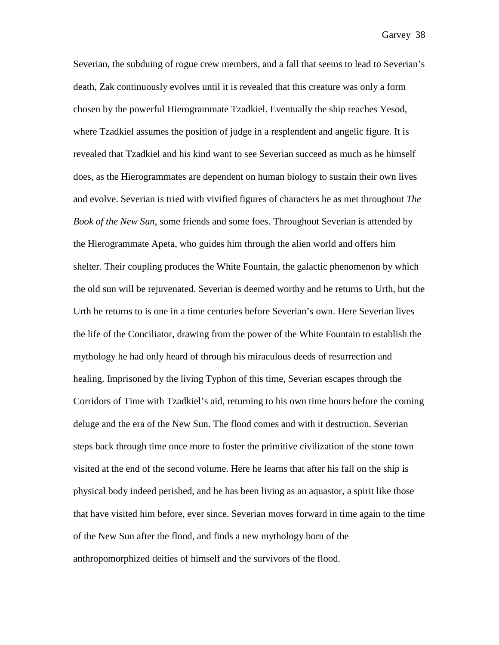Severian, the subduing of rogue crew members, and a fall that seems to lead to Severian's death, Zak continuously evolves until it is revealed that this creature was only a form chosen by the powerful Hierogrammate Tzadkiel. Eventually the ship reaches Yesod, where Tzadkiel assumes the position of judge in a resplendent and angelic figure. It is revealed that Tzadkiel and his kind want to see Severian succeed as much as he himself does, as the Hierogrammates are dependent on human biology to sustain their own lives and evolve. Severian is tried with vivified figures of characters he as met throughout *The Book of the New Sun*, some friends and some foes. Throughout Severian is attended by the Hierogrammate Apeta, who guides him through the alien world and offers him shelter. Their coupling produces the White Fountain, the galactic phenomenon by which the old sun will be rejuvenated. Severian is deemed worthy and he returns to Urth, but the Urth he returns to is one in a time centuries before Severian's own. Here Severian lives the life of the Conciliator, drawing from the power of the White Fountain to establish the mythology he had only heard of through his miraculous deeds of resurrection and healing. Imprisoned by the living Typhon of this time, Severian escapes through the Corridors of Time with Tzadkiel's aid, returning to his own time hours before the coming deluge and the era of the New Sun. The flood comes and with it destruction. Severian steps back through time once more to foster the primitive civilization of the stone town visited at the end of the second volume. Here he learns that after his fall on the ship is physical body indeed perished, and he has been living as an aquastor, a spirit like those that have visited him before, ever since. Severian moves forward in time again to the time of the New Sun after the flood, and finds a new mythology born of the anthropomorphized deities of himself and the survivors of the flood.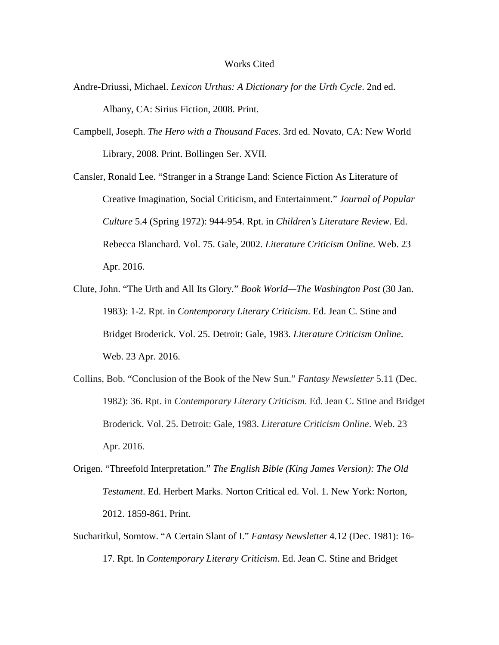## Works Cited

- Andre-Driussi, Michael. *Lexicon Urthus: A Dictionary for the Urth Cycle*. 2nd ed. Albany, CA: Sirius Fiction, 2008. Print.
- Campbell, Joseph. *The Hero with a Thousand Faces*. 3rd ed. Novato, CA: New World Library, 2008. Print. Bollingen Ser. XVII.

Cansler, Ronald Lee. "Stranger in a Strange Land: Science Fiction As Literature of Creative Imagination, Social Criticism, and Entertainment." *Journal of Popular Culture* 5.4 (Spring 1972): 944-954. Rpt. in *Children's Literature Review*. Ed. Rebecca Blanchard. Vol. 75. Gale, 2002. *Literature Criticism Online*. Web. 23 Apr. 2016.

- Clute, John. "The Urth and All Its Glory." *Book World—The Washington Post* (30 Jan. 1983): 1-2. Rpt. in *Contemporary Literary Criticism*. Ed. Jean C. Stine and Bridget Broderick. Vol. 25. Detroit: Gale, 1983. *Literature Criticism Online*. Web. 23 Apr. 2016.
- Collins, Bob. "Conclusion of the Book of the New Sun." *Fantasy Newsletter* 5.11 (Dec. 1982): 36. Rpt. in *Contemporary Literary Criticism*. Ed. Jean C. Stine and Bridget Broderick. Vol. 25. Detroit: Gale, 1983. *Literature Criticism Online*. Web. 23 Apr. 2016.
- Origen. "Threefold Interpretation." *The English Bible (King James Version): The Old Testament*. Ed. Herbert Marks. Norton Critical ed. Vol. 1. New York: Norton, 2012. 1859-861. Print.
- Sucharitkul, Somtow. "A Certain Slant of I." *Fantasy Newsletter* 4.12 (Dec. 1981): 16- 17. Rpt. In *Contemporary Literary Criticism*. Ed. Jean C. Stine and Bridget